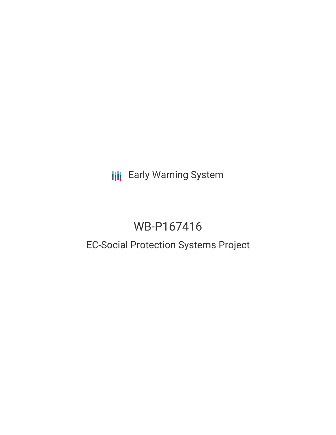## **III** Early Warning System

# WB-P167416

### EC-Social Protection Systems Project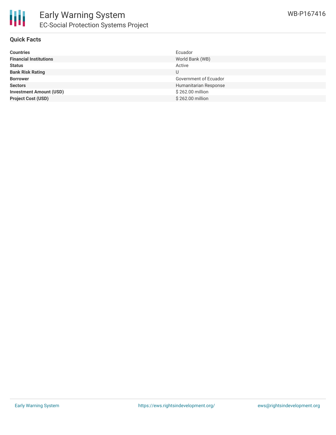

#### **Quick Facts**

| <b>Countries</b>               | Ecuador               |
|--------------------------------|-----------------------|
| <b>Financial Institutions</b>  | World Bank (WB)       |
| <b>Status</b>                  | Active                |
| <b>Bank Risk Rating</b>        | U                     |
| <b>Borrower</b>                | Government of Ecuador |
| <b>Sectors</b>                 | Humanitarian Response |
| <b>Investment Amount (USD)</b> | \$262.00 million      |
| <b>Project Cost (USD)</b>      | \$262.00 million      |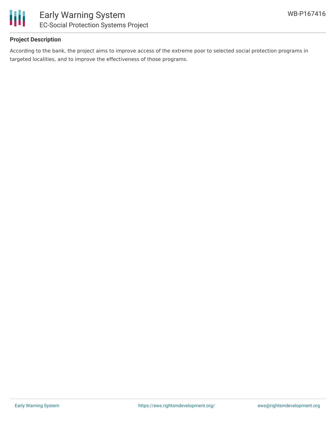

#### **Project Description**

According to the bank, the project aims to improve access of the extreme poor to selected social protection programs in targeted localities, and to improve the effectiveness of those programs.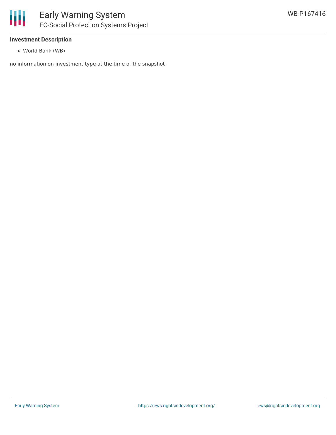

#### **Investment Description**

World Bank (WB)

no information on investment type at the time of the snapshot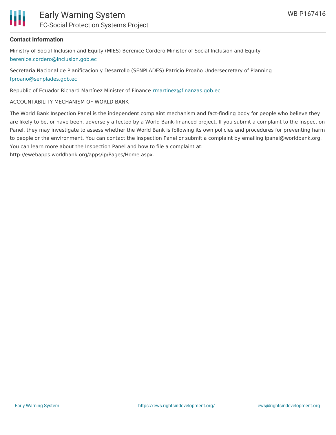

#### **Contact Information**

Ministry of Social Inclusion and Equity (MIES) Berenice Cordero Minister of Social Inclusion and Equity [berenice.cordero@inclusion.gob.ec](mailto:berenice.cordero@inclusion.gob.ec)

Secretaria Nacional de Planificacion y Desarrollo (SENPLADES) Patricio Proaño Undersecretary of Planning [fproano@senplades.gob.ec](mailto:fproano@senplades.gob.ec)

Republic of Ecuador Richard Martínez Minister of Finance [rmartinez@finanzas.gob.ec](mailto:rmartinez@finanzas.gob.ec)

ACCOUNTABILITY MECHANISM OF WORLD BANK

The World Bank Inspection Panel is the independent complaint mechanism and fact-finding body for people who believe they are likely to be, or have been, adversely affected by a World Bank-financed project. If you submit a complaint to the Inspection Panel, they may investigate to assess whether the World Bank is following its own policies and procedures for preventing harm to people or the environment. You can contact the Inspection Panel or submit a complaint by emailing ipanel@worldbank.org. You can learn more about the Inspection Panel and how to file a complaint at:

http://ewebapps.worldbank.org/apps/ip/Pages/Home.aspx.